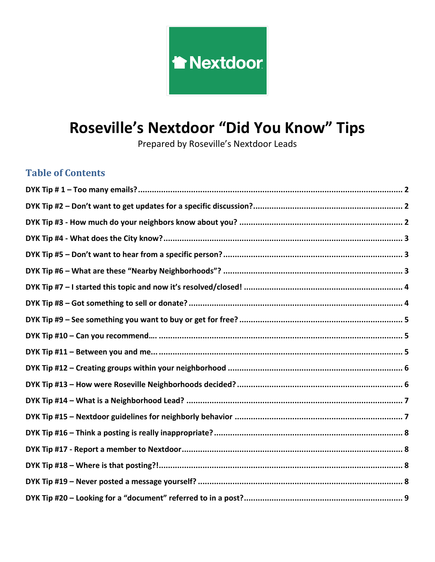

Prepared by Roseville's Nextdoor Leads

# **Table of Contents**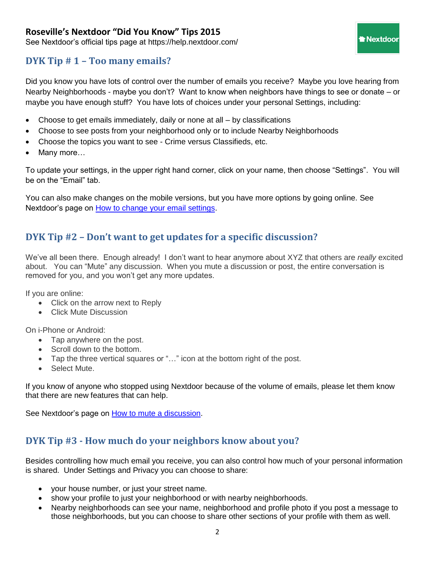See Nextdoor's official tips page at https://help.nextdoor.com/

### <span id="page-1-0"></span>**DYK Tip # 1 – Too many emails?**

Did you know you have lots of control over the number of emails you receive? Maybe you love hearing from Nearby Neighborhoods - maybe you don't? Want to know when neighbors have things to see or donate – or maybe you have enough stuff? You have lots of choices under your personal Settings, including:

**Thextdoor** 

- Choose to get emails immediately, daily or none at all by classifications
- Choose to see posts from your neighborhood only or to include Nearby Neighborhoods
- Choose the topics you want to see Crime versus Classifieds, etc.
- Many more…

To update your settings, in the upper right hand corner, click on your name, then choose "Settings". You will be on the "Email" tab.

You can also make changes on the mobile versions, but you have more options by going online. See Nextdoor's page on [How to change your email settings.](https://help.nextdoor.com/customer/portal/articles/805310-changing-your-email-settings)

### <span id="page-1-1"></span>**DYK Tip #2 – Don't want to get updates for a specific discussion?**

We've all been there. Enough already! I don't want to hear anymore about XYZ that others are *really* excited about. You can "Mute" any discussion. When you mute a discussion or post, the entire conversation is removed for you, and you won't get any more updates.

If you are online:

- Click on the arrow next to Reply
- Click Mute Discussion

On i-Phone or Android:

- Tap anywhere on the post.
- Scroll down to the bottom.
- Tap the three vertical squares or "…" icon at the bottom right of the post.
- Select Mute.

If you know of anyone who stopped using Nextdoor because of the volume of emails, please let them know that there are new features that can help.

<span id="page-1-2"></span>See Nextdoor's page on **How to mute a discussion**.

### **DYK Tip #3 - How much do your neighbors know about you?**

Besides controlling how much email you receive, you can also control how much of your personal information is shared. Under Settings and Privacy you can choose to share:

- your house number, or just your street name.
- show your profile to just your neighborhood or with nearby neighborhoods.
- Nearby neighborhoods can see your name, neighborhood and profile photo if you post a message to those neighborhoods, but you can choose to share other sections of your profile with them as well.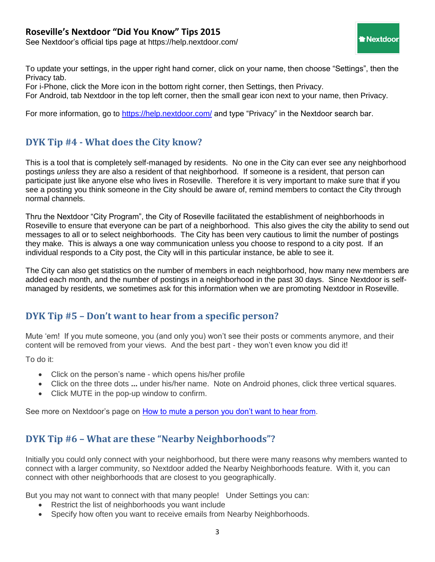See Nextdoor's official tips page at https://help.nextdoor.com/

To update your settings, in the upper right hand corner, click on your name, then choose "Settings", then the Privacy tab.

For i-Phone, click the More icon in the bottom right corner, then Settings, then Privacy.

For Android, tab Nextdoor in the top left corner, then the small gear icon next to your name, then Privacy.

For more information, go to<https://help.nextdoor.com/> and type "Privacy" in the Nextdoor search bar.

# <span id="page-2-0"></span>**DYK Tip #4 - What does the City know?**

This is a tool that is completely self-managed by residents. No one in the City can ever see any neighborhood postings *unless* they are also a resident of that neighborhood. If someone is a resident, that person can participate just like anyone else who lives in Roseville. Therefore it is very important to make sure that if you see a posting you think someone in the City should be aware of, remind members to contact the City through normal channels.

Thru the Nextdoor "City Program", the City of Roseville facilitated the establishment of neighborhoods in Roseville to ensure that everyone can be part of a neighborhood. This also gives the city the ability to send out messages to all or to select neighborhoods. The City has been very cautious to limit the number of postings they make. This is always a one way communication unless you choose to respond to a city post. If an individual responds to a City post, the City will in this particular instance, be able to see it.

The City can also get statistics on the number of members in each neighborhood, how many new members are added each month, and the number of postings in a neighborhood in the past 30 days. Since Nextdoor is selfmanaged by residents, we sometimes ask for this information when we are promoting Nextdoor in Roseville.

### <span id="page-2-1"></span>**DYK Tip #5 – Don't want to hear from a specific person?**

Mute 'em! If you mute someone, you (and only you) won't see their posts or comments anymore, and their content will be removed from your views. And the best part - they won't even know you did it!

To do it:

- Click on the person's name which opens his/her profile
- Click on the three dots **...** under his/her name. Note on Android phones, click three vertical squares.
- Click MUTE in the pop-up window to confirm.

<span id="page-2-2"></span>See more on Nextdoor's page on [How to mute a person you don't want to hear from.](https://help.nextdoor.com/customer/portal/articles/970285-muting-a-member-to-hide-their-content)

# **DYK Tip #6 – What are these "Nearby Neighborhoods"?**

Initially you could only connect with your neighborhood, but there were many reasons why members wanted to connect with a larger community, so Nextdoor added the Nearby Neighborhoods feature. With it, you can connect with other neighborhoods that are closest to you geographically.

But you may not want to connect with that many people! Under Settings you can:

- Restrict the list of neighborhoods you want include
- Specify how often you want to receive emails from Nearby Neighborhoods.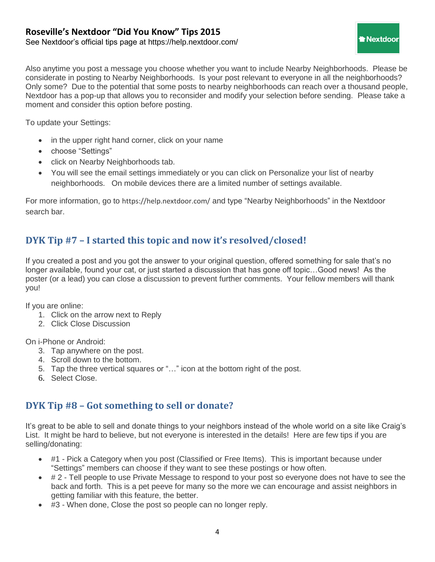See Nextdoor's official tips page at https://help.nextdoor.com/

Also anytime you post a message you choose whether you want to include Nearby Neighborhoods. Please be considerate in posting to Nearby Neighborhoods. Is your post relevant to everyone in all the neighborhoods? Only some? Due to the potential that some posts to nearby neighborhoods can reach over a thousand people, Nextdoor has a pop-up that allows you to reconsider and modify your selection before sending. Please take a moment and consider this option before posting.

Nextdoor

To update your Settings:

- in the upper right hand corner, click on your name
- choose "Settings"
- click on Nearby Neighborhoods tab.
- You will see the email settings immediately or you can click on [Personalize your list of nearby](https://rosevillelibrary.nextdoor.com/nearby_neighborhoods_prefs/)  [neighborhoods.](https://rosevillelibrary.nextdoor.com/nearby_neighborhoods_prefs/) On mobile devices there are a limited number of settings available.

For more information, go to <https://help.nextdoor.com/> and type "Nearby Neighborhoods" in the Nextdoor search bar.

# <span id="page-3-0"></span>**DYK Tip #7 – I started this topic and now it's resolved/closed!**

If you created a post and you got the answer to your original question, offered something for sale that's no longer available, found your cat, or just started a discussion that has gone off topic…Good news! As the poster (or a lead) you can close a discussion to prevent further comments. Your fellow members will thank you!

If you are online:

- 1. Click on the arrow next to Reply
- 2. Click Close Discussion

On i-Phone or Android:

- 3. Tap anywhere on the post.
- 4. Scroll down to the bottom.
- 5. Tap the three vertical squares or "…" icon at the bottom right of the post.
- <span id="page-3-1"></span>6. Select Close.

# **DYK Tip #8 – Got something to sell or donate?**

It's great to be able to sell and donate things to your neighbors instead of the whole world on a site like Craig's List. It might be hard to believe, but not everyone is interested in the details! Here are few tips if you are selling/donating:

- #1 Pick a Category when you post (Classified or Free Items). This is important because under "Settings" members can choose if they want to see these postings or how often.
- # 2 Tell people to use Private Message to respond to your post so everyone does not have to see the back and forth. This is a pet peeve for many so the more we can encourage and assist neighbors in getting familiar with this feature, the better.
- #3 When done, Close the post so people can no longer reply.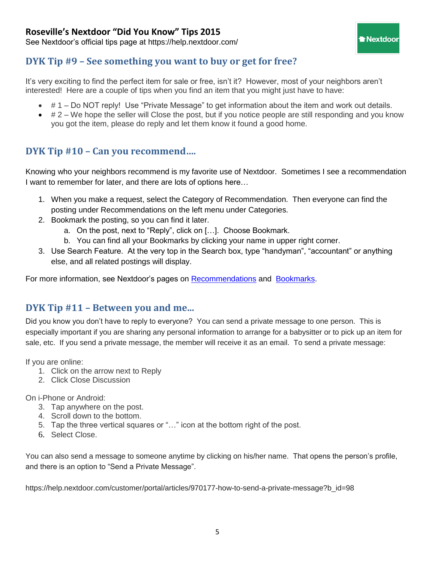See Nextdoor's official tips page at https://help.nextdoor.com/

### <span id="page-4-0"></span>**DYK Tip #9 – See something you want to buy or get for free?**

It's very exciting to find the perfect item for sale or free, isn't it? However, most of your neighbors aren't interested! Here are a couple of tips when you find an item that you might just have to have:

- # 1 Do NOT reply! Use "Private Message" to get information about the item and work out details.
- $\bullet\quad \# 2$  We hope the seller will Close the post, but if you notice people are still responding and you know you got the item, please do reply and let them know it found a good home.

**Nextdoor** 

# <span id="page-4-1"></span>**DYK Tip #10 – Can you recommend….**

Knowing who your neighbors recommend is my favorite use of Nextdoor. Sometimes I see a recommendation I want to remember for later, and there are lots of options here…

- 1. When you make a request, select the Category of Recommendation. Then everyone can find the posting under Recommendations on the left menu under Categories.
- 2. Bookmark the posting, so you can find it later.
	- a. On the post, next to "Reply", click on […]. Choose Bookmark.
	- b. You can find all your Bookmarks by clicking your name in upper right corner.
- 3. Use Search Feature. At the very top in the Search box, type "handyman", "accountant" or anything else, and all related postings will display.

For more information, see Nextdoor's pages on [Recommendations](https://help.nextdoor.com/customer/portal/articles/805321-adding-a-local-service-recommendation) and [Bookmarks.](https://help.nextdoor.com/customer/portal/articles/1659340-how-to-use-bookmarks)

### <span id="page-4-2"></span>**DYK Tip #11 – Between you and me...**

Did you know you don't have to reply to everyone? You can send a private message to one person. This is especially important if you are sharing any personal information to arrange for a babysitter or to pick up an item for sale, etc. If you send a private message, the member will receive it as an email. To send a private message:

If you are online:

- 1. Click on the arrow next to Reply
- 2. Click Close Discussion

On i-Phone or Android:

- 3. Tap anywhere on the post.
- 4. Scroll down to the bottom.
- 5. Tap the three vertical squares or "…" icon at the bottom right of the post.
- 6. Select Close.

You can also send a message to someone anytime by clicking on his/her name. That opens the person's profile, and there is an option to "Send a Private Message".

https://help.nextdoor.com/customer/portal/articles/970177-how-to-send-a-private-message?b\_id=98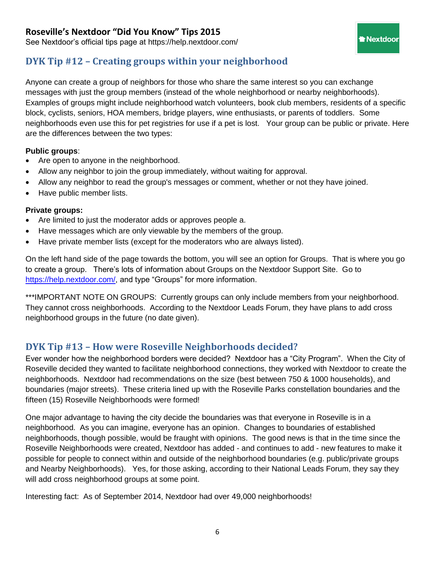See Nextdoor's official tips page at https://help.nextdoor.com/

# <span id="page-5-0"></span>**DYK Tip #12 – Creating groups within your neighborhood**

Anyone can create a group of neighbors for those who share the same interest so you can exchange messages with just the group members (instead of the whole neighborhood or nearby neighborhoods). Examples of groups might include neighborhood watch volunteers, book club members, residents of a specific block, cyclists, seniors, HOA members, bridge players, wine enthusiasts, or parents of toddlers. Some neighborhoods even use this for pet registries for use if a pet is lost. Your group can be public or private. Here are the differences between the two types:

Nextdoor

#### **Public groups**:

- Are open to anyone in the neighborhood.
- Allow any neighbor to join the group immediately, without waiting for approval.
- Allow any neighbor to read the group's messages or comment, whether or not they have joined.
- Have public member lists.

#### **Private groups:**

- Are limited to just the moderator adds or approves people a.
- Have messages which are only viewable by the members of the group.
- Have private member lists (except for the moderators who are always listed).

On the left hand side of the page towards the bottom, you will see an option for Groups. That is where you go to create a group. There's lots of information about Groups on the Nextdoor Support Site. Go to [https://help.nextdoor.com/,](https://help.nextdoor.com/) and type "Groups" for more information.

\*\*\*IMPORTANT NOTE ON GROUPS: Currently groups can only include members from your neighborhood. They cannot cross neighborhoods. According to the Nextdoor Leads Forum, they have plans to add cross neighborhood groups in the future (no date given).

# <span id="page-5-1"></span>**DYK Tip #13 – How were Roseville Neighborhoods decided?**

Ever wonder how the neighborhood borders were decided? Nextdoor has a "City Program". When the City of Roseville decided they wanted to facilitate neighborhood connections, they worked with Nextdoor to create the neighborhoods. Nextdoor had recommendations on the size (best between 750 & 1000 households), and boundaries (major streets). These criteria lined up with the Roseville Parks constellation boundaries and the fifteen (15) Roseville Neighborhoods were formed!

One major advantage to having the city decide the boundaries was that everyone in Roseville is in a neighborhood. As you can imagine, everyone has an opinion. Changes to boundaries of established neighborhoods, though possible, would be fraught with opinions. The good news is that in the time since the Roseville Neighborhoods were created, Nextdoor has added - and continues to add - new features to make it possible for people to connect within and outside of the neighborhood boundaries (e.g. public/private groups and Nearby Neighborhoods). Yes, for those asking, according to their National Leads Forum, they say they will add cross neighborhood groups at some point.

Interesting fact: As of September 2014, Nextdoor had over 49,000 neighborhoods!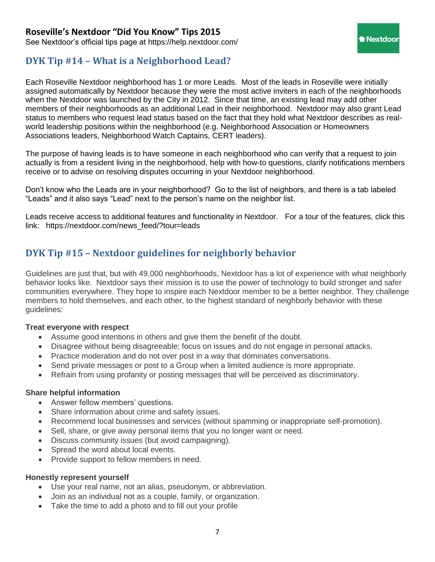See Nextdoor's official tips page at https://help.nextdoor.com/

# <span id="page-6-0"></span>**DYK Tip #14 – What is a Neighborhood Lead?**

Each Roseville Nextdoor neighborhood has 1 or more Leads. Most of the leads in Roseville were initially assigned automatically by Nextdoor because they were the most active inviters in each of the neighborhoods when the Nextdoor was launched by the City in 2012. Since that time, an existing lead may add other members of their neighborhoods as an additional Lead in their neighborhood. Nextdoor may also grant Lead status to members who request lead status based on the fact that they hold what Nextdoor describes as realworld leadership positions within the neighborhood (e.g. Neighborhood Association or Homeowners Associations leaders, Neighborhood Watch Captains, CERT leaders).

Nextdoor

The purpose of having leads is to have someone in each neighborhood who can verify that a request to join actually is from a resident living in the neighborhood, help with how-to questions, clarify notifications members receive or to advise on resolving disputes occurring in your Nextdoor neighborhood.

Don't know who the Leads are in your neighborhood? Go to the list of neighbors, and there is a tab labeled "Leads" and it also says "Lead" next to the person's name on the neighbor list.

Leads receive access to additional features and functionality in Nextdoor. For a tour of the features, click this link: [https://nextdoor.com/news\\_feed/?tour=leads](https://nextdoor.com/news_feed/?tour=leads)

# <span id="page-6-1"></span>**DYK Tip #15 – Nextdoor guidelines for neighborly behavior**

Guidelines are just that, but with 49,000 neighborhoods, Nextdoor has a lot of experience with what neighborly behavior looks like. Nextdoor says their mission is to use the power of technology to build stronger and safer communities everywhere. They hope to inspire each Nextdoor member to be a better neighbor. They challenge members to hold themselves, and each other, to the highest standard of neighborly behavior with these guidelines:

#### **Treat everyone with respect**

- Assume good intentions in others and give them the benefit of the doubt.
- Disagree without being disagreeable; focus on issues and do not engage in personal attacks.
- Practice moderation and do not over post in a way that dominates conversations.
- Send private messages or post to a Group when a limited audience is more appropriate.
- Refrain from using profanity or posting messages that will be perceived as discriminatory.

#### **Share helpful information**

- Answer fellow members' questions.
- Share information about crime and safety issues.
- Recommend local businesses and services (without spamming or inappropriate self-promotion).
- Sell, share, or give away personal items that you no longer want or need.
- Discuss community issues (but avoid campaigning).
- Spread the word about local events.
- Provide support to fellow members in need.

#### **Honestly represent yourself**

- Use your real name, not an alias, pseudonym, or abbreviation.
- Join as an individual not as a couple, family, or organization.
- Take the time to add a photo and to fill out your profile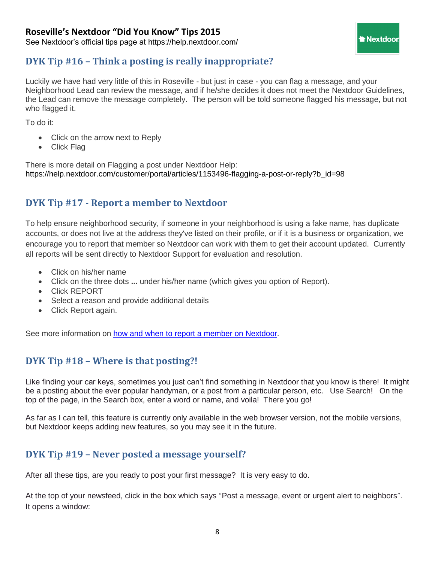See Nextdoor's official tips page at https://help.nextdoor.com/

# <span id="page-7-0"></span>**DYK Tip #16 – Think a posting is really inappropriate?**

Luckily we have had very little of this in Roseville - but just in case - you can flag a message, and your Neighborhood Lead can review the message, and if he/she decides it does not meet the Nextdoor Guidelines, the Lead can remove the message completely. The person will be told someone flagged his message, but not who flagged it.

Nextdoor

To do it:

- Click on the arrow next to Reply
- Click Flag

There is more detail on Flagging a post under Nextdoor Help: https://help.nextdoor.com/customer/portal/articles/1153496-flagging-a-post-or-reply?b\_id=98

# <span id="page-7-1"></span>**DYK Tip #17 - Report a member to Nextdoor**

To help ensure neighborhood security, if someone in your neighborhood is using a fake name, has duplicate accounts, or does not live at the address they've listed on their profile, or if it is a business or organization, we encourage you to report that member so Nextdoor can work with them to get their account updated. Currently all reports will be sent directly to Nextdoor Support for evaluation and resolution.

- Click on his/her name
- Click on the three dots **...** under his/her name (which gives you option of Report).
- Click REPORT
- Select a reason and provide additional details
- Click Report again.

See more information on [how and when to report a member](https://help.nextdoor.com/customer/portal/articles/1718570-how-and-when-to-report-a-nextdoor-member) on Nextdoor.

### <span id="page-7-2"></span>**DYK Tip #18 – Where is that posting?!**

Like finding your car keys, sometimes you just can't find something in Nextdoor that you know is there! It might be a posting about the ever popular handyman, or a post from a particular person, etc. Use Search! On the top of the page, in the Search box, enter a word or name, and voila! There you go!

<span id="page-7-3"></span>As far as I can tell, this feature is currently only available in the web browser version, not the mobile versions, but Nextdoor keeps adding new features, so you may see it in the future.

### **DYK Tip #19 – Never posted a message yourself?**

After all these tips, are you ready to post your first message? It is very easy to do.

At the top of your newsfeed, click in the box which says "Post a message, event or urgent alert to neighbors". It opens a window: